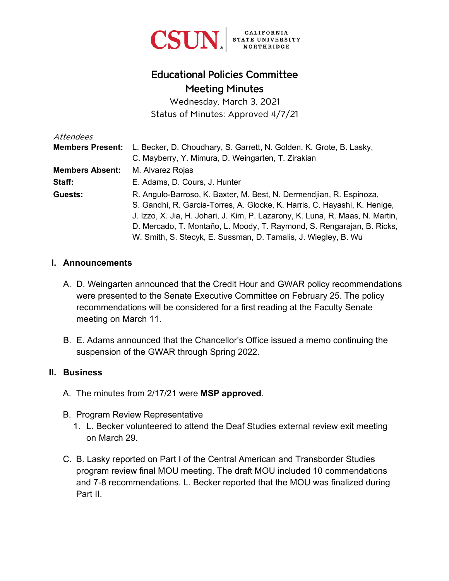

## Educational Policies Committee Meeting Minutes

Wednesday, March 3, 2021 Status of Minutes: Approved 4/7/21

| Attendees               |                                                                               |
|-------------------------|-------------------------------------------------------------------------------|
| <b>Members Present:</b> | L. Becker, D. Choudhary, S. Garrett, N. Golden, K. Grote, B. Lasky,           |
|                         | C. Mayberry, Y. Mimura, D. Weingarten, T. Zirakian                            |
| <b>Members Absent:</b>  | M. Alvarez Rojas                                                              |
| Staff:                  | E. Adams, D. Cours, J. Hunter                                                 |
| Guests:                 | R. Angulo-Barroso, K. Baxter, M. Best, N. Dermendijan, R. Espinoza,           |
|                         | S. Gandhi, R. Garcia-Torres, A. Glocke, K. Harris, C. Hayashi, K. Henige,     |
|                         | J. Izzo, X. Jia, H. Johari, J. Kim, P. Lazarony, K. Luna, R. Maas, N. Martin, |
|                         | D. Mercado, T. Montaño, L. Moody, T. Raymond, S. Rengarajan, B. Ricks,        |
|                         | W. Smith, S. Stecyk, E. Sussman, D. Tamalis, J. Wiegley, B. Wu                |

#### **I. Announcements**

- A. D. Weingarten announced that the Credit Hour and GWAR policy recommendations were presented to the Senate Executive Committee on February 25. The policy recommendations will be considered for a first reading at the Faculty Senate meeting on March 11.
- B. E. Adams announced that the Chancellor's Office issued a memo continuing the suspension of the GWAR through Spring 2022.

#### **II. Business**

- A. The minutes from 2/17/21 were **MSP approved**.
- B. Program Review Representative
	- 1. L. Becker volunteered to attend the Deaf Studies external review exit meeting on March 29.
- C. B. Lasky reported on Part I of the Central American and Transborder Studies program review final MOU meeting. The draft MOU included 10 commendations and 7-8 recommendations. L. Becker reported that the MOU was finalized during Part II.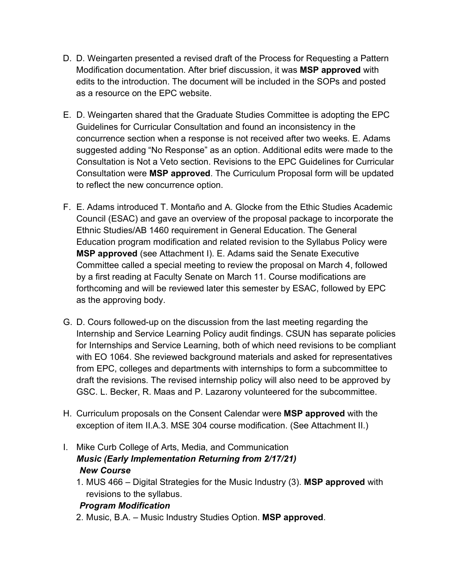- D. D. Weingarten presented a revised draft of the Process for Requesting a Pattern Modification documentation. After brief discussion, it was **MSP approved** with edits to the introduction. The document will be included in the SOPs and posted as a resource on the EPC website.
- E. D. Weingarten shared that the Graduate Studies Committee is adopting the EPC Guidelines for Curricular Consultation and found an inconsistency in the concurrence section when a response is not received after two weeks. E. Adams suggested adding "No Response" as an option. Additional edits were made to the Consultation is Not a Veto section. Revisions to the EPC Guidelines for Curricular Consultation were **MSP approved**. The Curriculum Proposal form will be updated to reflect the new concurrence option.
- F. E. Adams introduced T. Montaño and A. Glocke from the Ethic Studies Academic Council (ESAC) and gave an overview of the proposal package to incorporate the Ethnic Studies/AB 1460 requirement in General Education. The General Education program modification and related revision to the Syllabus Policy were **MSP approved** (see Attachment I). E. Adams said the Senate Executive Committee called a special meeting to review the proposal on March 4, followed by a first reading at Faculty Senate on March 11. Course modifications are forthcoming and will be reviewed later this semester by ESAC, followed by EPC as the approving body.
- G. D. Cours followed-up on the discussion from the last meeting regarding the Internship and Service Learning Policy audit findings. CSUN has separate policies for Internships and Service Learning, both of which need revisions to be compliant with EO 1064. She reviewed background materials and asked for representatives from EPC, colleges and departments with internships to form a subcommittee to draft the revisions. The revised internship policy will also need to be approved by GSC. L. Becker, R. Maas and P. Lazarony volunteered for the subcommittee.
- H. Curriculum proposals on the Consent Calendar were **MSP approved** with the exception of item II.A.3. MSE 304 course modification. (See Attachment II.)
- I. Mike Curb College of Arts, Media, and Communication *Music (Early Implementation Returning from 2/17/21) New Course*
	- 1. MUS 466 Digital Strategies for the Music Industry (3). **MSP approved** with revisions to the syllabus.

#### *Program Modification*

2. Music, B.A. – Music Industry Studies Option. **MSP approved**.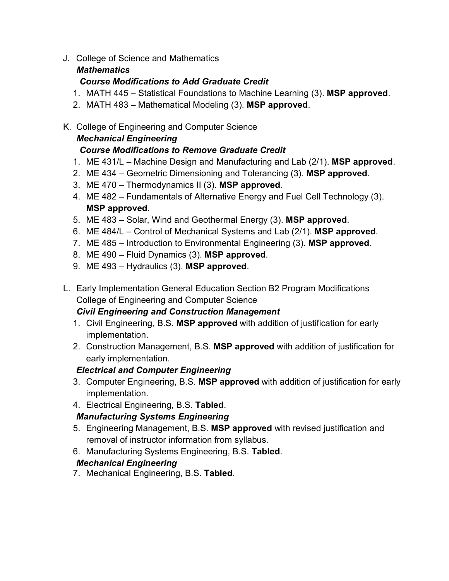J. College of Science and Mathematics

## *Mathematics*

### *Course Modifications to Add Graduate Credit*

- 1. MATH 445 Statistical Foundations to Machine Learning (3). **MSP approved**.
- 2. MATH 483 Mathematical Modeling (3). **MSP approved**.

## K. College of Engineering and Computer Science

## *Mechanical Engineering*

## *Course Modifications to Remove Graduate Credit*

- 1. ME 431/L Machine Design and Manufacturing and Lab (2/1). **MSP approved**.
- 2. ME 434 Geometric Dimensioning and Tolerancing (3). **MSP approved**.
- 3. ME 470 Thermodynamics II (3). **MSP approved**.
- 4. ME 482 Fundamentals of Alternative Energy and Fuel Cell Technology (3). **MSP approved**.
- 5. ME 483 Solar, Wind and Geothermal Energy (3). **MSP approved**.
- 6. ME 484/L Control of Mechanical Systems and Lab (2/1). **MSP approved**.
- 7. ME 485 Introduction to Environmental Engineering (3). **MSP approved**.
- 8. ME 490 Fluid Dynamics (3). **MSP approved**.
- 9. ME 493 Hydraulics (3). **MSP approved**.
- L. Early Implementation General Education Section B2 Program Modifications College of Engineering and Computer Science

## *Civil Engineering and Construction Management*

- 1. Civil Engineering, B.S. **MSP approved** with addition of justification for early implementation.
- 2. Construction Management, B.S. **MSP approved** with addition of justification for early implementation.

## *Electrical and Computer Engineering*

- 3. Computer Engineering, B.S. **MSP approved** with addition of justification for early implementation.
- 4. Electrical Engineering, B.S. **Tabled**.

## *Manufacturing Systems Engineering*

- 5. Engineering Management, B.S. **MSP approved** with revised justification and removal of instructor information from syllabus.
- 6. Manufacturing Systems Engineering, B.S. **Tabled**.

## *Mechanical Engineering*

7. Mechanical Engineering, B.S. **Tabled**.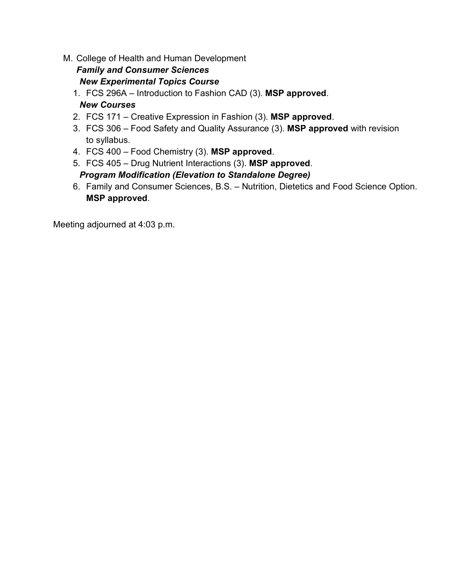M. College of Health and Human Development

#### *Family and Consumer Sciences New Experimental Topics Course*

1. FCS 296A – Introduction to Fashion CAD (3). **MSP approved**. *New Courses*

- 2. FCS 171 Creative Expression in Fashion (3). **MSP approved**.
- 3. FCS 306 Food Safety and Quality Assurance (3). **MSP approved** with revision to syllabus.
- 4. FCS 400 Food Chemistry (3). **MSP approved**.
- 5. FCS 405 Drug Nutrient Interactions (3). **MSP approved**.

#### *Program Modification (Elevation to Standalone Degree)*

6. Family and Consumer Sciences, B.S. – Nutrition, Dietetics and Food Science Option. **MSP approved**.

Meeting adjourned at 4:03 p.m.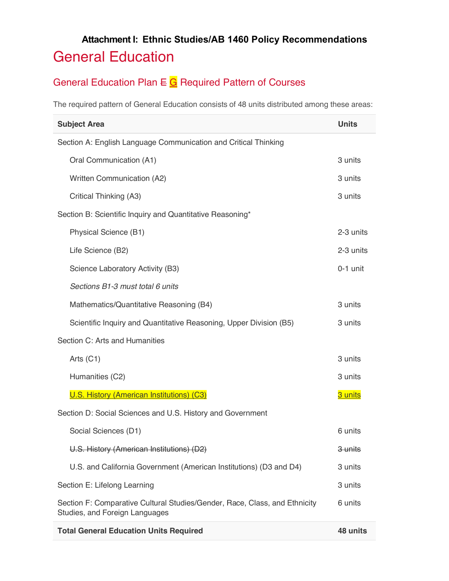## **Attachment I: Ethnic Studies/AB 1460 Policy Recommendations** General Education

## General Education Plan  $E \subseteq G$  Required Pattern of Courses

The required pattern of General Education consists of 48 units distributed among these areas:

| <b>Subject Area</b>                                                                                          |                                                                    |            |  |
|--------------------------------------------------------------------------------------------------------------|--------------------------------------------------------------------|------------|--|
| Section A: English Language Communication and Critical Thinking                                              |                                                                    |            |  |
|                                                                                                              | Oral Communication (A1)                                            | 3 units    |  |
|                                                                                                              | <b>Written Communication (A2)</b>                                  | 3 units    |  |
|                                                                                                              | Critical Thinking (A3)                                             | 3 units    |  |
| Section B: Scientific Inquiry and Quantitative Reasoning*                                                    |                                                                    |            |  |
|                                                                                                              | Physical Science (B1)                                              | 2-3 units  |  |
|                                                                                                              | Life Science (B2)                                                  | 2-3 units  |  |
|                                                                                                              | Science Laboratory Activity (B3)                                   | $0-1$ unit |  |
|                                                                                                              | Sections B1-3 must total 6 units                                   |            |  |
|                                                                                                              | Mathematics/Quantitative Reasoning (B4)                            | 3 units    |  |
|                                                                                                              | Scientific Inquiry and Quantitative Reasoning, Upper Division (B5) | 3 units    |  |
| Section C: Arts and Humanities                                                                               |                                                                    |            |  |
|                                                                                                              | Arts $(C1)$                                                        | 3 units    |  |
|                                                                                                              | Humanities (C2)                                                    | 3 units    |  |
|                                                                                                              | U.S. History (American Institutions) (C3)                          | 3 units    |  |
| Section D: Social Sciences and U.S. History and Government                                                   |                                                                    |            |  |
|                                                                                                              | Social Sciences (D1)                                               | 6 units    |  |
|                                                                                                              | U.S. History (American Institutions) (D2)                          | 3 units    |  |
|                                                                                                              | U.S. and California Government (American Institutions) (D3 and D4) | 3 units    |  |
| Section E: Lifelong Learning                                                                                 |                                                                    | 3 units    |  |
| Section F: Comparative Cultural Studies/Gender, Race, Class, and Ethnicity<br>Studies, and Foreign Languages |                                                                    | 6 units    |  |
| <b>Total General Education Units Required</b>                                                                |                                                                    |            |  |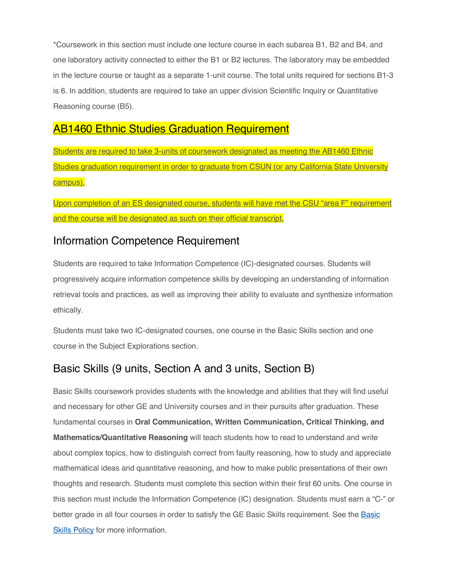\*Coursework in this section must include one lecture course in each subarea B1, B2 and B4, and one laboratory activity connected to either the B1 or B2 lectures. The laboratory may be embedded in the lecture course or taught as a separate 1-unit course. The total units required for sections B1-3 is 6. In addition, students are required to take an upper division Scientific Inquiry or Quantitative Reasoning course (B5).

## AB1460 Ethnic Studies Graduation Requirement

Students are required to take 3-units of coursework designated as meeting the AB1460 Ethnic Studies graduation requirement in order to graduate from CSUN (or any California State University campus).

Upon completion of an ES designated course, students will have met the CSU "area F" requirement and the course will be designated as such on their official transcript.

## Information Competence Requirement

Students are required to take Information Competence (IC)-designated courses. Students will progressively acquire information competence skills by developing an understanding of information retrieval tools and practices, as well as improving their ability to evaluate and synthesize information ethically.

Students must take two IC-designated courses, one course in the Basic Skills section and one course in the Subject Explorations section.

## Basic Skills (9 units, Section A and 3 units, Section B)

Basic Skills coursework provides students with the knowledge and abilities that they will find useful and necessary for other GE and University courses and in their pursuits after graduation. These fundamental courses in **Oral Communication, Written Communication, Critical Thinking, and Mathematics/Quantitative Reasoning** will teach students how to read to understand and write about complex topics, how to distinguish correct from faulty reasoning, how to study and appreciate mathematical ideas and quantitative reasoning, and how to make public presentations of their own thoughts and research. Students must complete this section within their first 60 units. One course in this section must include the Information Competence (IC) designation. Students must earn a "C-" or better grade in all four courses in order to satisfy the GE Basic Skills requirement. See the [Basic](https://catalog.csun.edu/policies/basic-skills-policy-undergraduate/)  [Skills Policy](https://catalog.csun.edu/policies/basic-skills-policy-undergraduate/) for more information.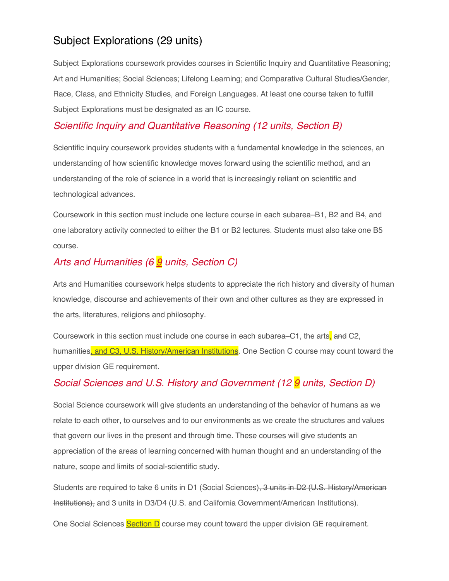## Subject Explorations (29 units)

Subject Explorations coursework provides courses in Scientific Inquiry and Quantitative Reasoning; Art and Humanities; Social Sciences; Lifelong Learning; and Comparative Cultural Studies/Gender, Race, Class, and Ethnicity Studies, and Foreign Languages. At least one course taken to fulfill Subject Explorations must be designated as an IC course.

#### *Scientific Inquiry and Quantitative Reasoning (12 units, Section B)*

Scientific inquiry coursework provides students with a fundamental knowledge in the sciences, an understanding of how scientific knowledge moves forward using the scientific method, and an understanding of the role of science in a world that is increasingly reliant on scientific and technological advances.

Coursework in this section must include one lecture course in each subarea–B1, B2 and B4, and one laboratory activity connected to either the B1 or B2 lectures. Students must also take one B5 course.

## *Arts and Humanities (6 9 units, Section C)*

Arts and Humanities coursework helps students to appreciate the rich history and diversity of human knowledge, discourse and achievements of their own and other cultures as they are expressed in the arts, literatures, religions and philosophy.

Coursework in this section must include one course in each subarea–C1, the arts, and C2, humanities, and C3, U.S. History/American Institutions. One Section C course may count toward the upper division GE requirement.

## *Social Sciences and U.S. History and Government (12 9 units, Section D)*

Social Science coursework will give students an understanding of the behavior of humans as we relate to each other, to ourselves and to our environments as we create the structures and values that govern our lives in the present and through time. These courses will give students an appreciation of the areas of learning concerned with human thought and an understanding of the nature, scope and limits of social-scientific study.

Students are required to take 6 units in D1 (Social Sciences), 3 units in D2 (U.S. History/American Institutions), and 3 units in D3/D4 (U.S. and California Government/American Institutions).

One Social Sciences Section D course may count toward the upper division GE requirement.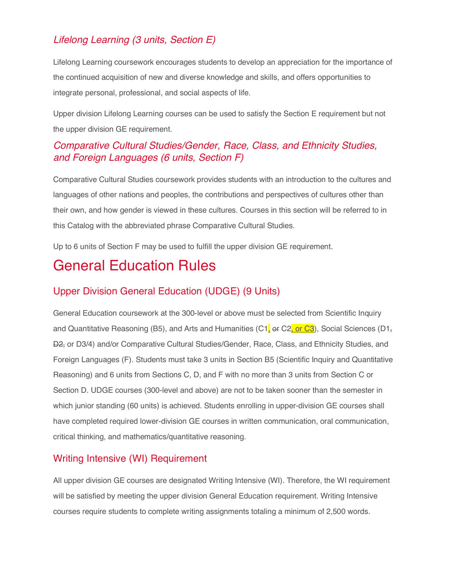## *Lifelong Learning (3 units, Section E)*

Lifelong Learning coursework encourages students to develop an appreciation for the importance of the continued acquisition of new and diverse knowledge and skills, and offers opportunities to integrate personal, professional, and social aspects of life.

Upper division Lifelong Learning courses can be used to satisfy the Section E requirement but not the upper division GE requirement.

## *Comparative Cultural Studies/Gender, Race, Class, and Ethnicity Studies, and Foreign Languages (6 units, Section F)*

Comparative Cultural Studies coursework provides students with an introduction to the cultures and languages of other nations and peoples, the contributions and perspectives of cultures other than their own, and how gender is viewed in these cultures. Courses in this section will be referred to in this Catalog with the abbreviated phrase Comparative Cultural Studies.

Up to 6 units of Section F may be used to fulfill the upper division GE requirement.

## General Education Rules

## Upper Division General Education (UDGE) (9 Units)

General Education coursework at the 300-level or above must be selected from Scientific Inquiry and Quantitative Reasoning (B5), and Arts and Humanities (C1,  $\sigma$  C2, or C3), Social Sciences (D1, D2, or D3/4) and/or Comparative Cultural Studies/Gender, Race, Class, and Ethnicity Studies, and Foreign Languages (F). Students must take 3 units in Section B5 (Scientific Inquiry and Quantitative Reasoning) and 6 units from Sections C, D, and F with no more than 3 units from Section C or Section D. UDGE courses (300-level and above) are not to be taken sooner than the semester in which junior standing (60 units) is achieved. Students enrolling in upper-division GE courses shall have completed required lower-division GE courses in written communication, oral communication, critical thinking, and mathematics/quantitative reasoning.

#### Writing Intensive (WI) Requirement

All upper division GE courses are designated Writing Intensive (WI). Therefore, the WI requirement will be satisfied by meeting the upper division General Education requirement. Writing Intensive courses require students to complete writing assignments totaling a minimum of 2,500 words.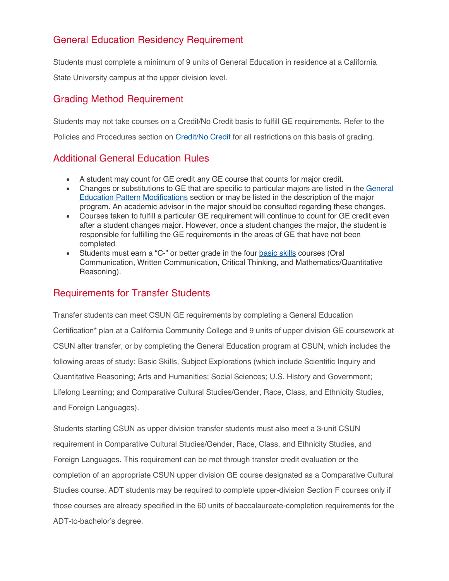## General Education Residency Requirement

Students must complete a minimum of 9 units of General Education in residence at a California State University campus at the upper division level.

#### Grading Method Requirement

Students may not take courses on a Credit/No Credit basis to fulfill GE requirements. Refer to the Policies and Procedures section on [Credit/No Credit](https://catalog.csun.edu/policies/credit-no-credit-grading/) for all restrictions on this basis of grading.

#### Additional General Education Rules

- A student may count for GE credit any GE course that counts for major credit.
- Changes or substitutions to GE that are specific to particular majors are listed in the [General](https://catalog.csun.edu/general-education/pattern-modifications/)  [Education Pattern Modifications](https://catalog.csun.edu/general-education/pattern-modifications/) section or may be listed in the description of the major program. An academic advisor in the major should be consulted regarding these changes.
- Courses taken to fulfill a particular GE requirement will continue to count for GE credit even after a student changes major. However, once a student changes the major, the student is responsible for fulfilling the GE requirements in the areas of GE that have not been completed.
- Students must earn a "C-" or better grade in the four [basic skills](https://catalog.csun.edu/policies/basic-skills-policy-undergraduate/) courses (Oral Communication, Written Communication, Critical Thinking, and Mathematics/Quantitative Reasoning).

#### Requirements for Transfer Students

Transfer students can meet CSUN GE requirements by completing a General Education Certification\* plan at a California Community College and 9 units of upper division GE coursework at CSUN after transfer, or by completing the General Education program at CSUN, which includes the following areas of study: Basic Skills, Subject Explorations (which include Scientific Inquiry and Quantitative Reasoning; Arts and Humanities; Social Sciences; U.S. History and Government; Lifelong Learning; and Comparative Cultural Studies/Gender, Race, Class, and Ethnicity Studies, and Foreign Languages).

Students starting CSUN as upper division transfer students must also meet a 3-unit CSUN requirement in Comparative Cultural Studies/Gender, Race, Class, and Ethnicity Studies, and Foreign Languages. This requirement can be met through transfer credit evaluation or the completion of an appropriate CSUN upper division GE course designated as a Comparative Cultural Studies course. ADT students may be required to complete upper-division Section F courses only if those courses are already specified in the 60 units of baccalaureate-completion requirements for the ADT-to-bachelor's degree.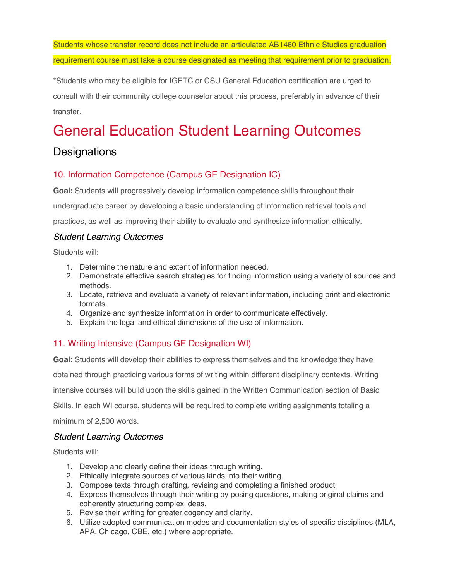Students whose transfer record does not include an articulated AB1460 Ethnic Studies graduation requirement course must take a course designated as meeting that requirement prior to graduation.

\*Students who may be eligible for IGETC or CSU General Education certification are urged to consult with their community college counselor about this process, preferably in advance of their transfer.

# General Education Student Learning Outcomes

## **Designations**

#### 10. Information Competence (Campus GE Designation IC)

**Goal:** Students will progressively develop information competence skills throughout their undergraduate career by developing a basic understanding of information retrieval tools and

practices, as well as improving their ability to evaluate and synthesize information ethically.

#### *Student Learning Outcomes*

Students will:

- 1. Determine the nature and extent of information needed.
- 2. Demonstrate effective search strategies for finding information using a variety of sources and methods.
- 3. Locate, retrieve and evaluate a variety of relevant information, including print and electronic formats.
- 4. Organize and synthesize information in order to communicate effectively.
- 5. Explain the legal and ethical dimensions of the use of information.

#### 11. Writing Intensive (Campus GE Designation WI)

**Goal:** Students will develop their abilities to express themselves and the knowledge they have obtained through practicing various forms of writing within different disciplinary contexts. Writing intensive courses will build upon the skills gained in the Written Communication section of Basic Skills. In each WI course, students will be required to complete writing assignments totaling a minimum of 2,500 words.

#### *Student Learning Outcomes*

Students will:

- 1. Develop and clearly define their ideas through writing.
- 2. Ethically integrate sources of various kinds into their writing.
- 3. Compose texts through drafting, revising and completing a finished product.
- 4. Express themselves through their writing by posing questions, making original claims and coherently structuring complex ideas.
- 5. Revise their writing for greater cogency and clarity.
- 6. Utilize adopted communication modes and documentation styles of specific disciplines (MLA, APA, Chicago, CBE, etc.) where appropriate.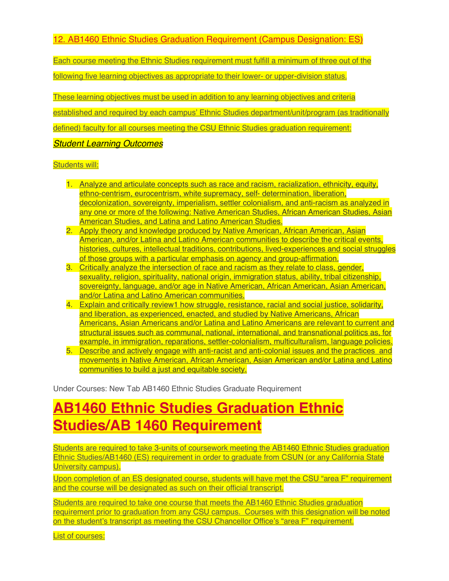12. AB1460 Ethnic Studies Graduation Requirement (Campus Designation: ES)

Each course meeting the Ethnic Studies requirement must fulfill a minimum of three out of the

following five learning objectives as appropriate to their lower- or upper-division status.

These learning objectives must be used in addition to any learning objectives and criteria

established and required by each campus' Ethnic Studies department/unit/program (as traditionally

defined) faculty for all courses meeting the CSU Ethnic Studies graduation requirement:

*Student Learning Outcomes* 

#### Students will:

- 1. Analyze and articulate concepts such as race and racism, racialization, ethnicity, equity, ethno-centrism, eurocentrism, white supremacy, self- determination, liberation, decolonization, sovereignty, imperialism, settler colonialism, and anti-racism as analyzed in any one or more of the following: Native American Studies, African American Studies, Asian American Studies, and Latina and Latino American Studies.
- 2. Apply theory and knowledge produced by Native American, African American, Asian American, and/or Latina and Latino American communities to describe the critical events, histories, cultures, intellectual traditions, contributions, lived-experiences and social struggles of those groups with a particular emphasis on agency and group-affirmation.
- 3. Critically analyze the intersection of race and racism as they relate to class, gender, sexuality, religion, spirituality, national origin, immigration status, ability, tribal citizenship, sovereignty, language, and/or age in Native American, African American, Asian American, and/or Latina and Latino American communities.
- 4. Explain and critically review1 how struggle, resistance, racial and social justice, solidarity, and liberation, as experienced, enacted, and studied by Native Americans, African Americans, Asian Americans and/or Latina and Latino Americans are relevant to current and structural issues such as communal, national, international, and transnational politics as, for example, in immigration, reparations, settler-colonialism, multiculturalism, language policies.
- 5. Describe and actively engage with anti-racist and anti-colonial issues and the practices and movements in Native American, African American, Asian American and/or Latina and Latino communities to build a just and equitable society.

Under Courses: New Tab AB1460 Ethnic Studies Graduate Requirement

# **AB1460 Ethnic Studies Graduation Ethnic Studies/AB 1460 Requirement**

Students are required to take 3-units of coursework meeting the AB1460 Ethnic Studies graduation Ethnic Studies/AB1460 (ES) requirement in order to graduate from CSUN (or any California State University campus).

Upon completion of an ES designated course, students will have met the CSU "area F" requirement and the course will be designated as such on their official transcript.

Students are required to take one course that meets the AB1460 Ethnic Studies graduation requirement prior to graduation from any CSU campus. Courses with this designation will be noted on the student's transcript as meeting the CSU Chancellor Office's "area F" requirement.

List of courses: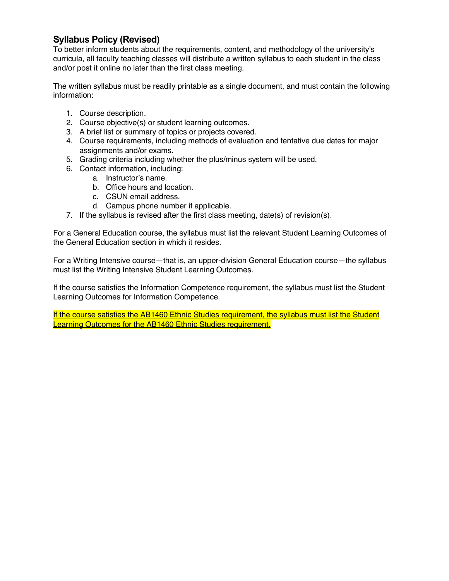#### **Syllabus Policy (Revised)**

To better inform students about the requirements, content, and methodology of the university's curricula, all faculty teaching classes will distribute a written syllabus to each student in the class and/or post it online no later than the first class meeting.

The written syllabus must be readily printable as a single document, and must contain the following information:

- 1. Course description.
- 2. Course objective(s) or student learning outcomes.
- 3. A brief list or summary of topics or projects covered.
- 4. Course requirements, including methods of evaluation and tentative due dates for major assignments and/or exams.
- 5. Grading criteria including whether the plus/minus system will be used.
- 6. Contact information, including:
	- a. Instructor's name.
	- b. Office hours and location.
	- c. CSUN email address.
	- d. Campus phone number if applicable.
- 7. If the syllabus is revised after the first class meeting, date(s) of revision(s).

For a General Education course, the syllabus must list the relevant Student Learning Outcomes of the General Education section in which it resides.

For a Writing Intensive course—that is, an upper-division General Education course—the syllabus must list the Writing Intensive Student Learning Outcomes.

If the course satisfies the Information Competence requirement, the syllabus must list the Student Learning Outcomes for Information Competence.

If the course satisfies the AB1460 Ethnic Studies requirement, the syllabus must list the Student Learning Outcomes for the AB1460 Ethnic Studies requirement.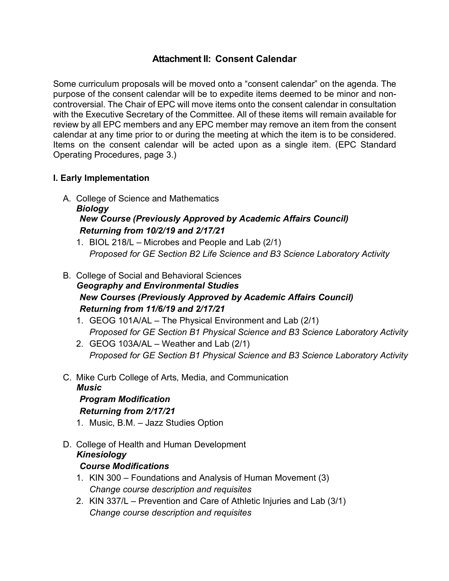### **Attachment II: Consent Calendar**

Some curriculum proposals will be moved onto a "consent calendar" on the agenda. The purpose of the consent calendar will be to expedite items deemed to be minor and noncontroversial. The Chair of EPC will move items onto the consent calendar in consultation with the Executive Secretary of the Committee. All of these items will remain available for review by all EPC members and any EPC member may remove an item from the consent calendar at any time prior to or during the meeting at which the item is to be considered. Items on the consent calendar will be acted upon as a single item. (EPC Standard Operating Procedures, page 3.)

#### **I. Early Implementation**

- A. College of Science and Mathematics *Biology New Course (Previously Approved by Academic Affairs Council) Returning from 10/2/19 and 2/17/21*
	- 1. BIOL 218/L Microbes and People and Lab (2/1) *Proposed for GE Section B2 Life Science and B3 Science Laboratory Activity*
- B. College of Social and Behavioral Sciences *Geography and Environmental Studies New Courses (Previously Approved by Academic Affairs Council) Returning from 11/6/19 and 2/17/21*
	- 1. GEOG 101A/AL The Physical Environment and Lab (2/1) *Proposed for GE Section B1 Physical Science and B3 Science Laboratory Activity*
	- 2. GEOG 103A/AL Weather and Lab (2/1) *Proposed for GE Section B1 Physical Science and B3 Science Laboratory Activity*
- C. Mike Curb College of Arts, Media, and Communication
	- *Music*

## *Program Modification*

#### *Returning from 2/17/21*

- 1. Music, B.M. Jazz Studies Option
- D. College of Health and Human Development *Kinesiology Course Modifications*
	- 1. KIN 300 Foundations and Analysis of Human Movement (3) *Change course description and requisites*
	- 2. KIN 337/L Prevention and Care of Athletic Injuries and Lab (3/1) *Change course description and requisites*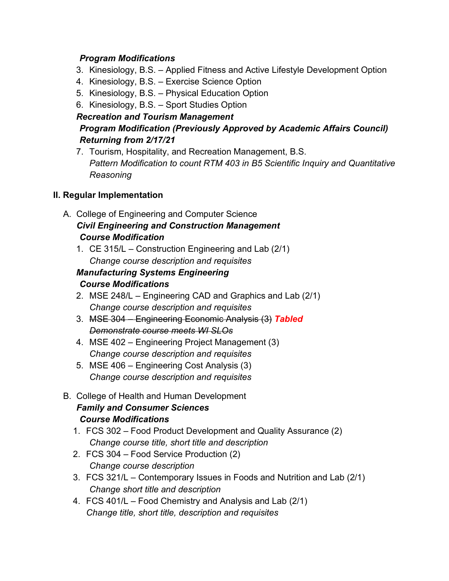#### *Program Modifications*

- 3. Kinesiology, B.S. Applied Fitness and Active Lifestyle Development Option
- 4. Kinesiology, B.S. Exercise Science Option
- 5. Kinesiology, B.S. Physical Education Option
- 6. Kinesiology, B.S. Sport Studies Option

#### *Recreation and Tourism Management Program Modification (Previously Approved by Academic Affairs Council) Returning from 2/17/21*

7. Tourism, Hospitality, and Recreation Management, B.S. *Pattern Modification to count RTM 403 in B5 Scientific Inquiry and Quantitative Reasoning*

#### **II. Regular Implementation**

- A. College of Engineering and Computer Science *Civil Engineering and Construction Management Course Modification*
	- 1. CE 315/L Construction Engineering and Lab (2/1) *Change course description and requisites*

#### *Manufacturing Systems Engineering Course Modifications*

- 2. MSE 248/L Engineering CAD and Graphics and Lab (2/1) *Change course description and requisites*
- 3. MSE 304 Engineering Economic Analysis (3) *Tabled Demonstrate course meets WI SLOs*
- 4. MSE 402 Engineering Project Management (3) *Change course description and requisites*
- 5. MSE 406 Engineering Cost Analysis (3) *Change course description and requisites*
- B. College of Health and Human Development *Family and Consumer Sciences Course Modifications*
	- 1. FCS 302 Food Product Development and Quality Assurance (2) *Change course title, short title and description*
	- 2. FCS 304 Food Service Production (2) *Change course description*
	- 3. FCS 321/L Contemporary Issues in Foods and Nutrition and Lab (2/1) *Change short title and description*
	- 4. FCS 401/L Food Chemistry and Analysis and Lab (2/1) *Change title, short title, description and requisites*